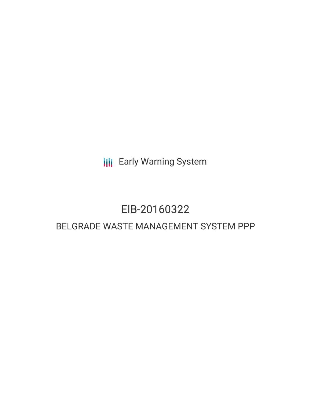**III** Early Warning System

# EIB-20160322

# BELGRADE WASTE MANAGEMENT SYSTEM PPP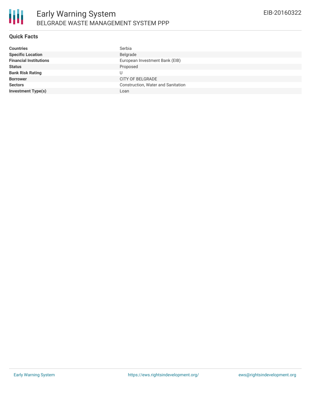## **Quick Facts**

| Serbia                             |
|------------------------------------|
| Belgrade                           |
| European Investment Bank (EIB)     |
| Proposed                           |
|                                    |
| <b>CITY OF BELGRADE</b>            |
| Construction, Water and Sanitation |
| Loan                               |
|                                    |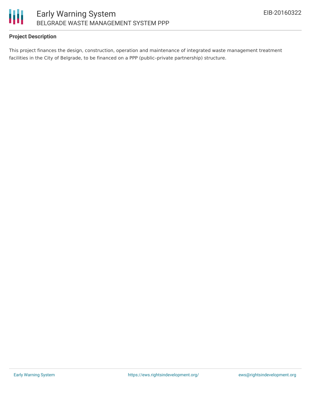

# **Project Description**

This project finances the design, construction, operation and maintenance of integrated waste management treatment facilities in the City of Belgrade, to be financed on a PPP (public–private partnership) structure.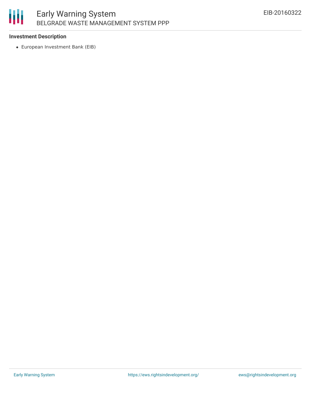# 朋 Early Warning System BELGRADE WASTE MANAGEMENT SYSTEM PPP

## **Investment Description**

European Investment Bank (EIB)